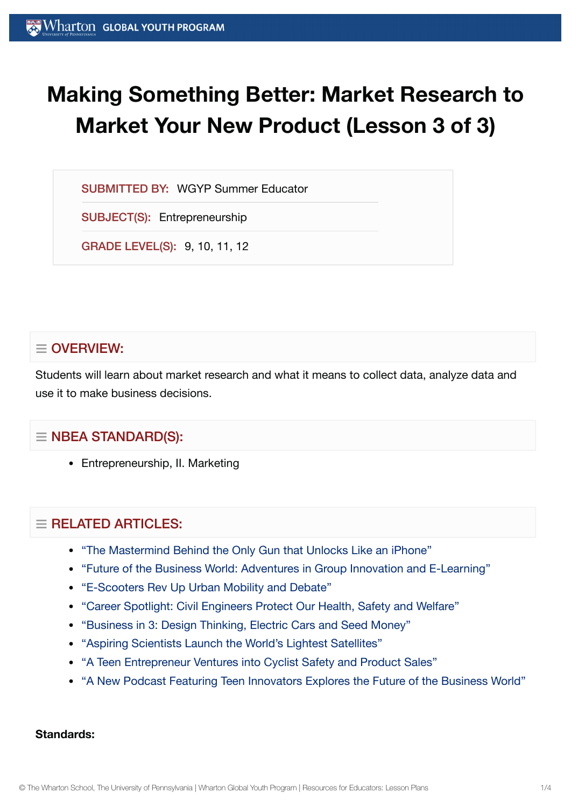# **Making Something Better: Market Research to Market Your New Product (Lesson 3 of 3)**

SUBMITTED BY: WGYP Summer Educator

SUBJECT(S): Entrepreneurship

GRADE LEVEL(S): 9, 10, 11, 12

# $\equiv$  OVERVIEW:

Students will learn about market research and what it means to collect data, analyze data and use it to make business decisions.

# $\equiv$  NBEA STANDARD(S):

Entrepreneurship, II. Marketing

# $\equiv$  RELATED ARTICLES:

- "The Mastermind Behind the Only Gun that [Unlocks Like](https://globalyouth.wharton.upenn.edu/articles/mastermind-behind-only-gun-unlocks-like-iphone/) an iPhone"
- "Future of the [Business World:](https://globalyouth.wharton.upenn.edu/articles/future-business-world-adventures-in-group-innovation-and-e-learning/) Adventures in Group Innovation and E-Learning"
- ["E-Scooters Rev Up](https://globalyouth.wharton.upenn.edu/articles/e-scooters-rev-urban-mobility-debate/) Urban Mobility and Debate"
- "Career Spotlight: Civil [Engineers Protect](https://globalyouth.wharton.upenn.edu/articles/career-spotlight-civil-engineers-protect-health-safety-welfare/) Our Health, Safety and Welfare"
- ["Business in](https://globalyouth.wharton.upenn.edu/articles/business-3-design-thinking-electric-cars-seed-money/) 3: Design Thinking, Electric Cars and Seed Money"
- "Aspiring [Scientists Launch](https://globalyouth.wharton.upenn.edu/articles/young-scientists-worlds-lightest-satellite/) the World's Lightest Satellites"
- "A Teen Entrepreneur [Ventures into](https://globalyouth.wharton.upenn.edu/articles/teen-entrepreneur-ventures-bicycle-safety-product-sales/) Cyclist Safety and Product Sales"
- "A New Podcast Featuring Teen [Innovators Explores the](https://globalyouth.wharton.upenn.edu/articles/new-podcast-teen-innovators-explores-future-of-the-business-world/) Future of the Business World"

#### **Standards:**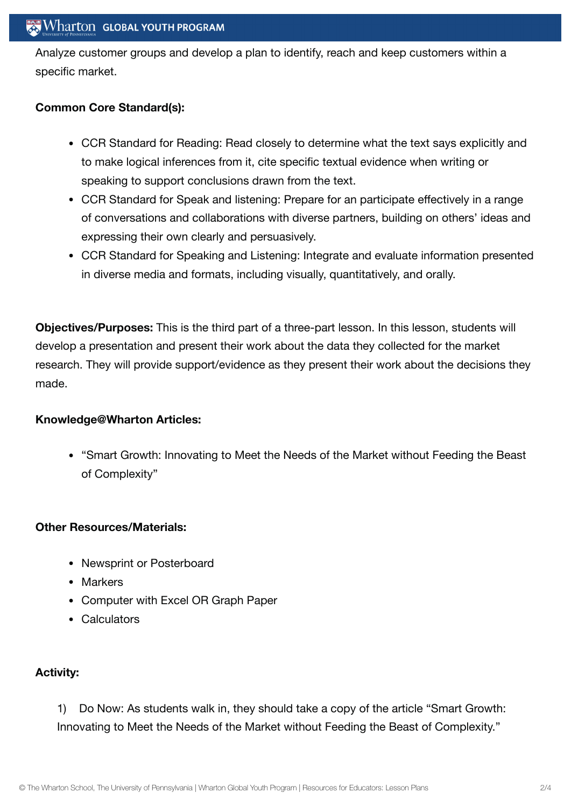## **Wharton GLOBAL YOUTH PROGRAM**

Analyze customer groups and develop a plan to identify, reach and keep customers within a specific market.

### **Common Core Standard(s):**

- CCR Standard for Reading: Read closely to determine what the text says explicitly and to make logical inferences from it, cite specific textual evidence when writing or speaking to support conclusions drawn from the text.
- CCR Standard for Speak and listening: Prepare for an participate effectively in a range of conversations and collaborations with diverse partners, building on others' ideas and expressing their own clearly and persuasively.
- CCR Standard for Speaking and Listening: Integrate and evaluate information presented in diverse media and formats, including visually, quantitatively, and orally.

**Objectives/Purposes:** This is the third part of a three-part lesson. In this lesson, students will develop a presentation and present their work about the data they collected for the market research. They will provide support/evidence as they present their work about the decisions they made.

#### **Knowledge@Wharton Articles:**

"Smart Growth: Innovating to Meet the Needs of the Market without Feeding the Beast of Complexity"

#### **Other Resources/Materials:**

- Newsprint or Posterboard
- Markers
- Computer with Excel OR Graph Paper
- Calculators

## **Activity:**

1) Do Now: As students walk in, they should take a copy of the article "Smart Growth: Innovating to Meet the Needs of the Market without Feeding the Beast of Complexity."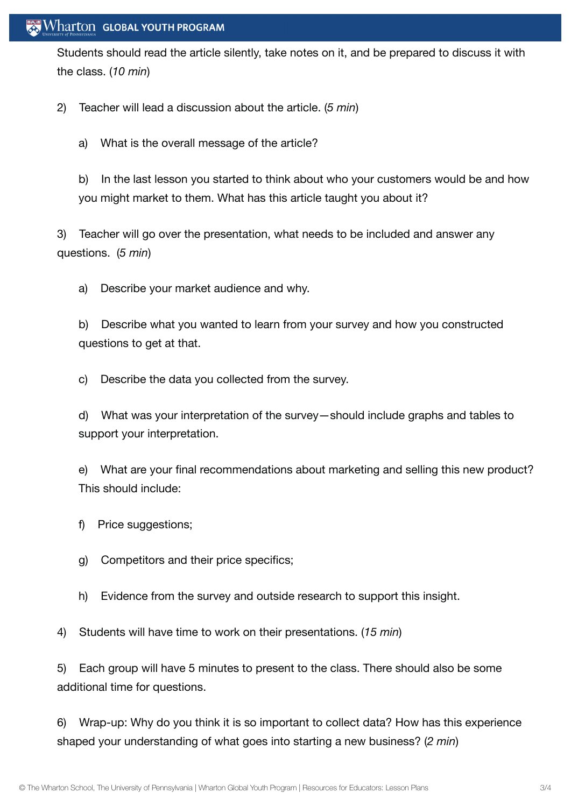## $\mathbb{R}$  Wharton Global Youth Program

Students should read the article silently, take notes on it, and be prepared to discuss it with the class. (*10 min*)

2) Teacher will lead a discussion about the article. (*5 min*)

a) What is the overall message of the article?

b) In the last lesson you started to think about who your customers would be and how you might market to them. What has this article taught you about it?

3) Teacher will go over the presentation, what needs to be included and answer any questions. (*5 min*)

a) Describe your market audience and why.

b) Describe what you wanted to learn from your survey and how you constructed questions to get at that.

c) Describe the data you collected from the survey.

d) What was your interpretation of the survey—should include graphs and tables to support your interpretation.

e) What are your final recommendations about marketing and selling this new product? This should include:

- f) Price suggestions;
- g) Competitors and their price specifics;
- h) Evidence from the survey and outside research to support this insight.

4) Students will have time to work on their presentations. (*15 min*)

5) Each group will have 5 minutes to present to the class. There should also be some additional time for questions.

6) Wrap-up: Why do you think it is so important to collect data? How has this experience shaped your understanding of what goes into starting a new business? (*2 min*)